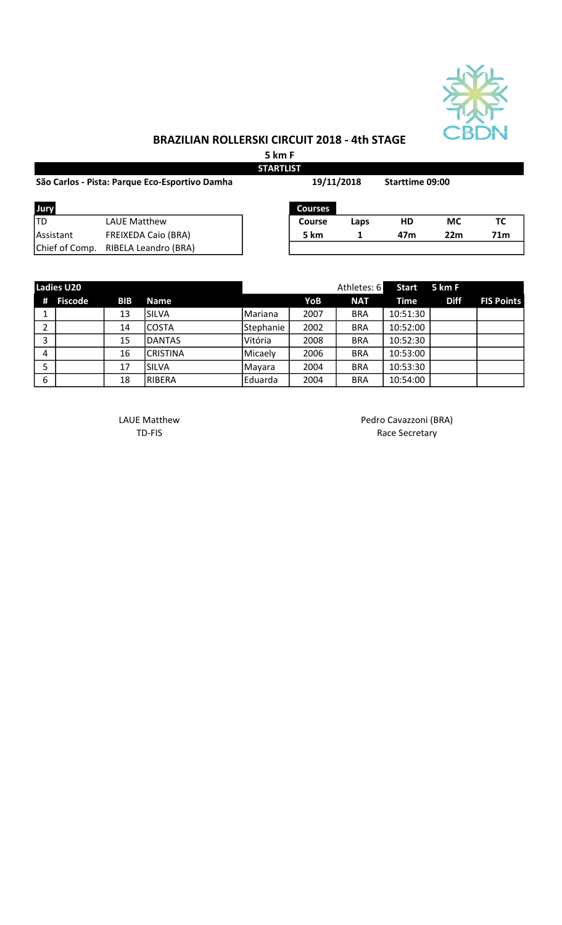

## BRAZILIAN ROLLERSKI CIRCUIT 2018 - 4th STAGE

5 km F

| <b>STARTLIST</b>                               |                            |            |                |                 |           |           |                 |  |  |
|------------------------------------------------|----------------------------|------------|----------------|-----------------|-----------|-----------|-----------------|--|--|
| São Carlos - Pista: Parque Eco-Esportivo Damha |                            | 19/11/2018 |                | Starttime 09:00 |           |           |                 |  |  |
| Jury                                           |                            |            | <b>Courses</b> |                 |           |           |                 |  |  |
| lTD                                            | <b>LAUE Matthew</b>        |            | Course         | Laps            | <b>HD</b> | <b>MC</b> | ТC              |  |  |
| <b>IAssistant</b>                              | <b>FREIXEDA Caio (BRA)</b> |            | 5 km           |                 | 47m       | 22m       | 71 <sub>m</sub> |  |  |
| Chief of Comp.                                 | RIBELA Leandro (BRA)       |            |                |                 |           |           |                 |  |  |

|   | <b>Ladies U20</b> |            |                 |           |      | Athletes: 6 | <b>Start</b> | 5 km F      |                   |
|---|-------------------|------------|-----------------|-----------|------|-------------|--------------|-------------|-------------------|
| # | Fiscode           | <b>BIB</b> | <b>Name</b>     |           | YoB  | <b>NAT</b>  | Time         | <b>Diff</b> | <b>FIS Points</b> |
|   |                   | 13         | İSILVA          | Mariana   | 2007 | <b>BRA</b>  | 10:51:30     |             |                   |
|   |                   | 14         | COSTA           | Stephanie | 2002 | <b>BRA</b>  | 10:52:00     |             |                   |
| 3 |                   | 15         | <b>DANTAS</b>   | Vitória   | 2008 | <b>BRA</b>  | 10:52:30     |             |                   |
| 4 |                   | 16         | <b>CRISTINA</b> | Micaely   | 2006 | <b>BRA</b>  | 10:53:00     |             |                   |
|   |                   | 17         | ISILVA          | Mayara    | 2004 | <b>BRA</b>  | 10:53:30     |             |                   |
| 6 |                   | 18         | RIBERA          | Eduarda   | 2004 | <b>BRA</b>  | 10:54:00     |             |                   |

LAUE Matthew **Pedro Cavazzoni** (BRA) TD-FIS Race Secretary